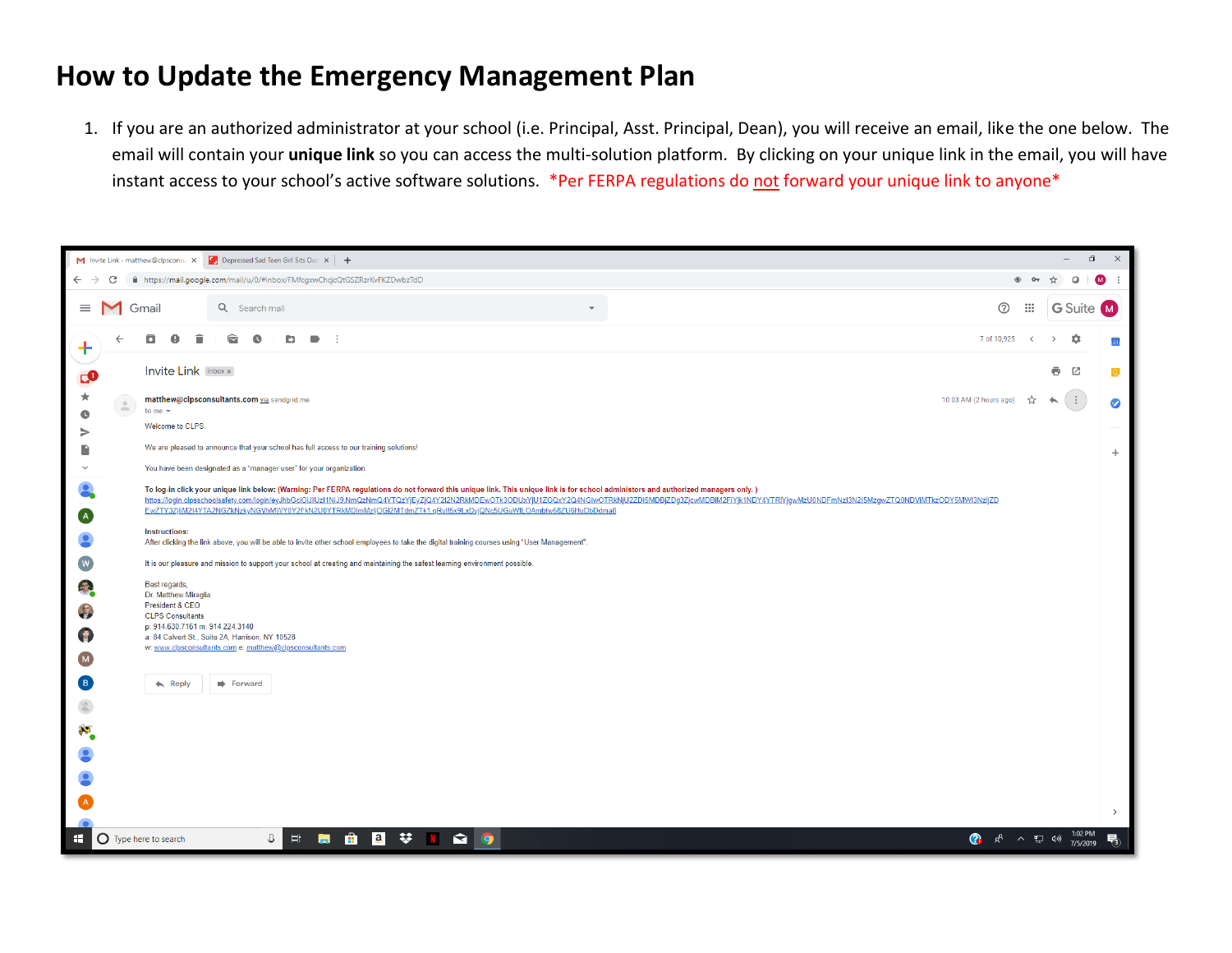## **How to Update the Emergency Management Plan**

1. If you are an authorized administrator at your school (i.e. Principal, Asst. Principal, Dean), you will receive an email, like the one below. The email will contain your **unique link** so you can access the multi-solution platform. By clicking on your unique link in the email, you will have instant access to your school's active software solutions. \*Per FERPA regulations do not forward your unique link to anyone\*

|                                                  | $\Box$<br>$\mathsf{X}$<br>M Invite Link - matthew@clpsconsul  X   Depressed Sad Teen Girl Sits Out: X   +<br>$ \,$             |                                                                                                                                                                                                                                                                                                                                                                                                           |                                            |                                                                                                                                                |                        |              |                                      |                 |  |  |
|--------------------------------------------------|--------------------------------------------------------------------------------------------------------------------------------|-----------------------------------------------------------------------------------------------------------------------------------------------------------------------------------------------------------------------------------------------------------------------------------------------------------------------------------------------------------------------------------------------------------|--------------------------------------------|------------------------------------------------------------------------------------------------------------------------------------------------|------------------------|--------------|--------------------------------------|-----------------|--|--|
| $\leftarrow$ $\rightarrow$                       | C                                                                                                                              |                                                                                                                                                                                                                                                                                                                                                                                                           |                                            | ■ https://mail.google.com/mail/u/0/#inbox/FMfcgxwChcjcQtGSZRzrKvFKZDwbzTdD                                                                     |                        |              | $\circ$                              | $M \cdot$       |  |  |
|                                                  |                                                                                                                                | $\equiv$ M Gmail                                                                                                                                                                                                                                                                                                                                                                                          |                                            | Q Search mail<br>$\overline{\mathbf{v}}$                                                                                                       | ⊚                      | $\mathbf{m}$ | <b>G</b> Suite (M)                   |                 |  |  |
| Ť<br>сO                                          |                                                                                                                                |                                                                                                                                                                                                                                                                                                                                                                                                           | 0                                          | q<br>$\bullet$<br>b<br>$\blacksquare$                                                                                                          | 7 of 10,925            | $\langle$    | ٠<br>$\rightarrow$                   | 31              |  |  |
|                                                  |                                                                                                                                |                                                                                                                                                                                                                                                                                                                                                                                                           | <b>Invite Link Inbox x</b>                 |                                                                                                                                                |                        |              | ē<br>囜                               | Q               |  |  |
| $_{\star}$<br>$\bullet$                          |                                                                                                                                | $\frac{a}{2}$                                                                                                                                                                                                                                                                                                                                                                                             | to me $\sim$                               | matthew@clpsconsultants.com via sendgrid.me                                                                                                    | 10:03 AM (2 hours ago) | ☆            | $\vdots$<br>$\overline{\phantom{0}}$ | $\bullet$       |  |  |
| ⇒                                                |                                                                                                                                |                                                                                                                                                                                                                                                                                                                                                                                                           | Welcome to CLPS.                           |                                                                                                                                                |                        |              |                                      |                 |  |  |
| P                                                |                                                                                                                                |                                                                                                                                                                                                                                                                                                                                                                                                           |                                            | We are pleased to announce that your school has full access to our training solutions!                                                         |                        |              |                                      | $\! + \!\!\!\!$ |  |  |
| $\checkmark$                                     |                                                                                                                                |                                                                                                                                                                                                                                                                                                                                                                                                           |                                            | You have been designated as a "manager user" for your organization.                                                                            |                        |              |                                      |                 |  |  |
|                                                  |                                                                                                                                | To log-in click your unique link below: (Warning: Per FERPA regulations do not forward this unique link. This unique link is for school administors and authorized managers only.)<br>https://login.clpsschoolsafety.com/login/eyJhbGciOiJIUz11NiJ9.NmQzNmQ4YTQzYjEyZjQ4Y2I2N2RkMDEwOTk3ODUxYjU1ZGQxY2Q4NGlwOTRkNjU2ZDI5MDBjZDg3ZjcwMDBlM2FIYjk1NDY4YTRIYjgwMzU0NDFmNzJ3N2I5MzqwZTQ0NDVMTkzODY5MWI3NzjjZD |                                            |                                                                                                                                                |                        |              |                                      |                 |  |  |
| $\left[ \begin{array}{cc} A \end{array} \right]$ |                                                                                                                                |                                                                                                                                                                                                                                                                                                                                                                                                           |                                            | EwZTY3ZjiiM2I4YTA2NGZkNzkyNGVhMWY0Y2FkN2U0YTRkMDlmMzIjOGI2MTdmZTk1.gRvlf5x9LxDyjQNc5UGuWILOAmbtw68ZU6HuDbDdma8                                 |                        |              |                                      |                 |  |  |
|                                                  |                                                                                                                                |                                                                                                                                                                                                                                                                                                                                                                                                           | <b>Instructions:</b>                       | After clicking the link above, you will be able to invite other school employees to take the digital training courses using "User Management". |                        |              |                                      |                 |  |  |
| $\overline{w}$                                   |                                                                                                                                | It is our pleasure and mission to support your school at creating and maintaining the safest learning environment possible.                                                                                                                                                                                                                                                                               |                                            |                                                                                                                                                |                        |              |                                      |                 |  |  |
| F                                                |                                                                                                                                |                                                                                                                                                                                                                                                                                                                                                                                                           | Best regards,<br>Dr. Matthew Miraglia      |                                                                                                                                                |                        |              |                                      |                 |  |  |
| $\mathbf{F}$                                     |                                                                                                                                |                                                                                                                                                                                                                                                                                                                                                                                                           | President & CEO<br><b>CLPS Consultants</b> |                                                                                                                                                |                        |              |                                      |                 |  |  |
| 冒                                                |                                                                                                                                |                                                                                                                                                                                                                                                                                                                                                                                                           | p: 914.630.7161 m: 914.224.3140            | a: 84 Calvert St., Suite 2A, Harrison, NY 10528                                                                                                |                        |              |                                      |                 |  |  |
| [M]                                              |                                                                                                                                |                                                                                                                                                                                                                                                                                                                                                                                                           |                                            | w: www.clpsconsultants.com e: matthew@clpsconsultants.com                                                                                      |                        |              |                                      |                 |  |  |
| B                                                |                                                                                                                                |                                                                                                                                                                                                                                                                                                                                                                                                           | $\leftarrow$ Reply                         | Forward                                                                                                                                        |                        |              |                                      |                 |  |  |
| $\frac{1}{\sqrt{2}}$                             |                                                                                                                                |                                                                                                                                                                                                                                                                                                                                                                                                           |                                            |                                                                                                                                                |                        |              |                                      |                 |  |  |
| asi                                              |                                                                                                                                |                                                                                                                                                                                                                                                                                                                                                                                                           |                                            |                                                                                                                                                |                        |              |                                      |                 |  |  |
|                                                  |                                                                                                                                |                                                                                                                                                                                                                                                                                                                                                                                                           |                                            |                                                                                                                                                |                        |              |                                      |                 |  |  |
|                                                  |                                                                                                                                |                                                                                                                                                                                                                                                                                                                                                                                                           |                                            |                                                                                                                                                |                        |              |                                      |                 |  |  |
|                                                  |                                                                                                                                |                                                                                                                                                                                                                                                                                                                                                                                                           |                                            |                                                                                                                                                |                        |              |                                      |                 |  |  |
|                                                  |                                                                                                                                |                                                                                                                                                                                                                                                                                                                                                                                                           |                                            |                                                                                                                                                |                        |              |                                      | $\,>\,$         |  |  |
| $\mathbf{H}$                                     | 1:02 PM<br>$\hat{\mathbf{r}}$<br><b>8 ジ N ☆ 9</b><br>$\downarrow$<br>目<br>? ☆ ^ \$ →<br>O Type here to search<br>易<br>7/5/2019 |                                                                                                                                                                                                                                                                                                                                                                                                           |                                            |                                                                                                                                                |                        |              |                                      |                 |  |  |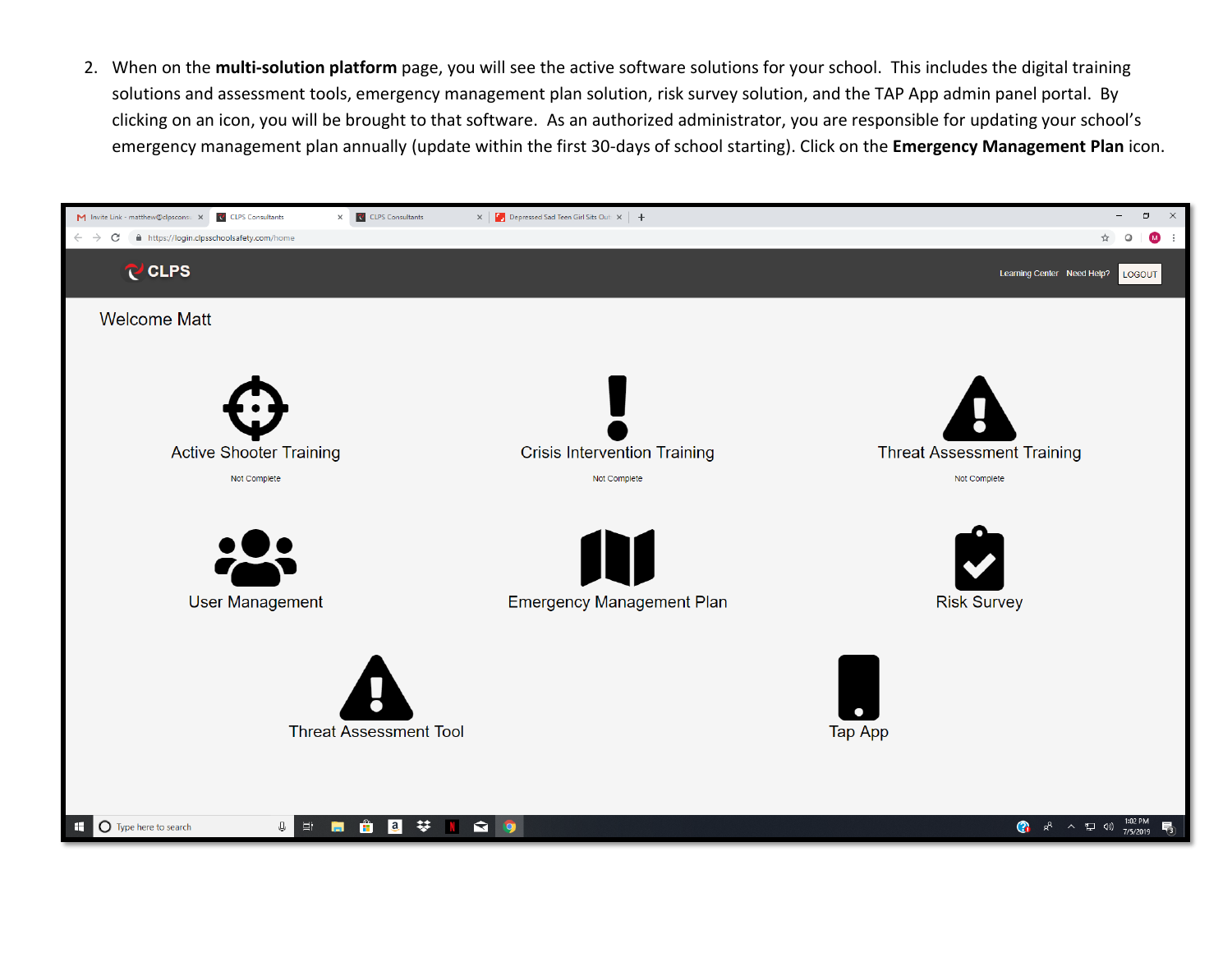2. When on the **multi-solution platform** page, you will see the active software solutions for your school. This includes the digital training solutions and assessment tools, emergency management plan solution, risk survey solution, and the TAP App admin panel portal. By clicking on an icon, you will be brought to that software. As an authorized administrator, you are responsible for updating your school's emergency management plan annually (update within the first 30-days of school starting). Click on the **Emergency Management Plan** icon.

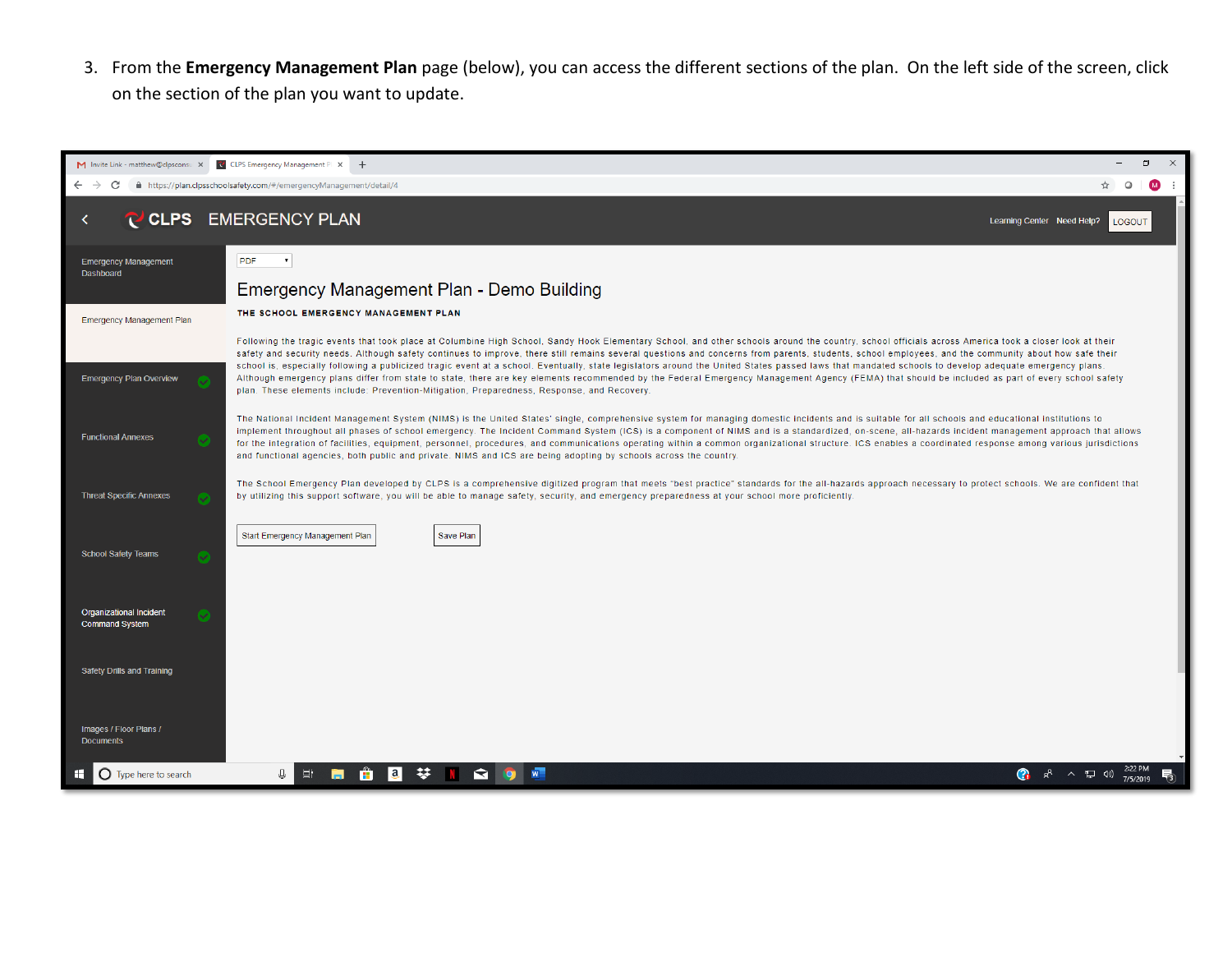3. From the **Emergency Management Plan** page (below), you can access the different sections of the plan. On the left side of the screen, click on the section of the plan you want to update.

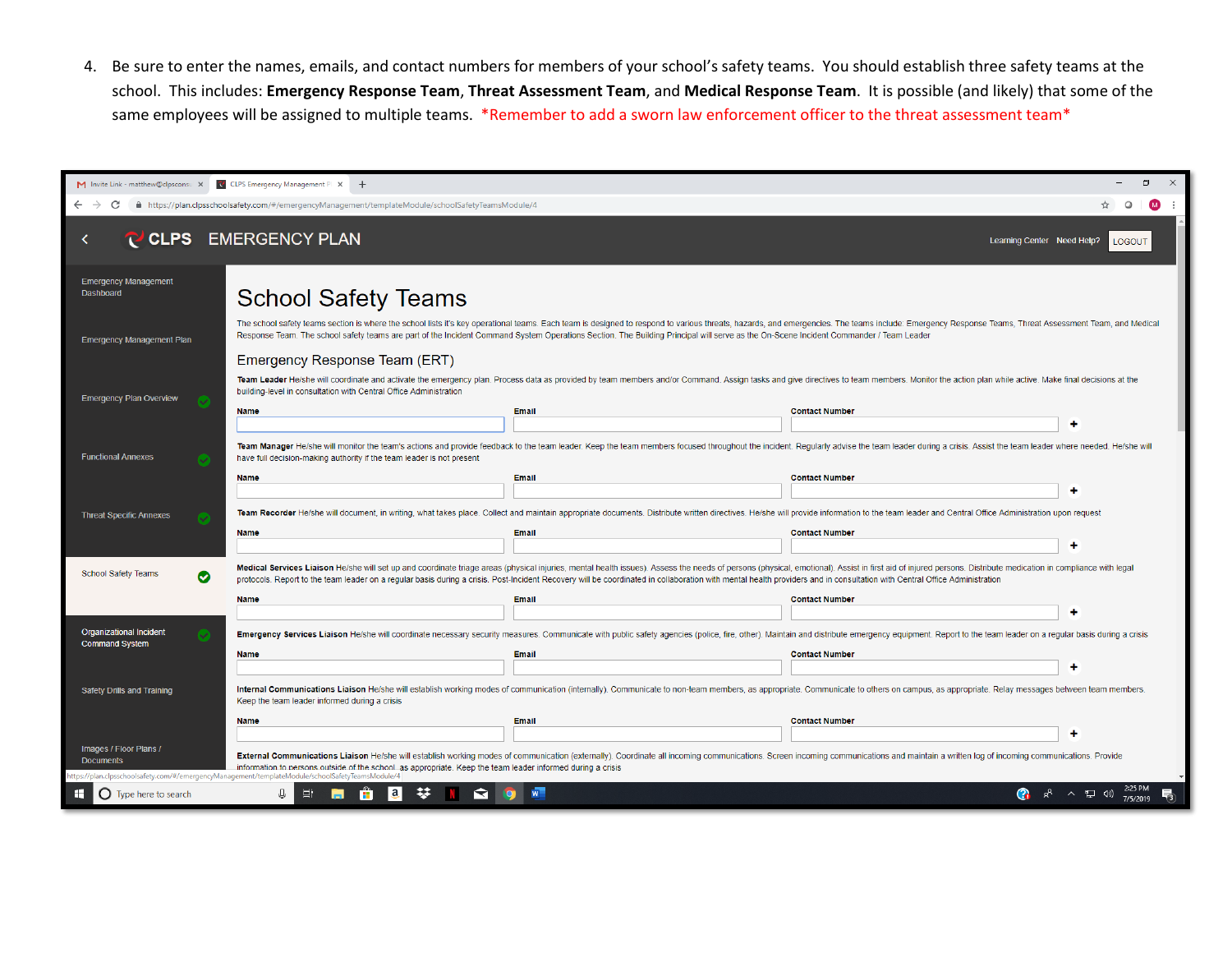4. Be sure to enter the names, emails, and contact numbers for members of your school's safety teams. You should establish three safety teams at the school. This includes: **Emergency Response Team**, **Threat Assessment Team**, and **Medical Response Team**. It is possible (and likely) that some of the same employees will be assigned to multiple teams. \*Remember to add a sworn law enforcement officer to the threat assessment team\*

| ο<br>$\times$<br>M Invite Link - matthew@clpsconsu X<br>CLPS Emergency Management Pl X +                                                                     |                                                                                                                                                                                                                                                                                                                                                                                                                                                            |       |                                                                                                                                                                                                                                |  |  |  |  |  |  |
|--------------------------------------------------------------------------------------------------------------------------------------------------------------|------------------------------------------------------------------------------------------------------------------------------------------------------------------------------------------------------------------------------------------------------------------------------------------------------------------------------------------------------------------------------------------------------------------------------------------------------------|-------|--------------------------------------------------------------------------------------------------------------------------------------------------------------------------------------------------------------------------------|--|--|--|--|--|--|
| $\leftarrow$<br>C                                                                                                                                            | ■ https://plan.clpsschoolsafety.com/#/emergencyManagement/templateModule/schoolSafetyTeamsModule/4                                                                                                                                                                                                                                                                                                                                                         |       | $\circ$<br>$\blacksquare$                                                                                                                                                                                                      |  |  |  |  |  |  |
| CLPS EMERGENCY PLAN<br>Learning Center Need Help?<br>LOGOUT                                                                                                  |                                                                                                                                                                                                                                                                                                                                                                                                                                                            |       |                                                                                                                                                                                                                                |  |  |  |  |  |  |
| <b>Emergency Management</b><br>Dashboard                                                                                                                     | <b>School Safety Teams</b>                                                                                                                                                                                                                                                                                                                                                                                                                                 |       |                                                                                                                                                                                                                                |  |  |  |  |  |  |
| <b>Emergency Management Plan</b>                                                                                                                             | The school safety teams section is where the school lists it's key operational teams. Each team is designed to respond to various threats, hazards, and emergencies. The teams include: Emergency Response Teams, Threat Asses<br>Response Team. The school safety teams are part of the Incident Command System Operations Section. The Building Principal will serve as the On-Scene Incident Commander / Team Leader<br>Emergency Response Team (ERT)   |       |                                                                                                                                                                                                                                |  |  |  |  |  |  |
| <b>Emergency Plan Overview</b>                                                                                                                               | Team Leader He/she will coordinate and activate the emergency plan. Process data as provided by team members and/or Command. Assign tasks and give directives to team members. Monitor the action plan while active. Make fina<br>building-level in consultation with Central Office Administration                                                                                                                                                        |       |                                                                                                                                                                                                                                |  |  |  |  |  |  |
|                                                                                                                                                              | <b>Name</b>                                                                                                                                                                                                                                                                                                                                                                                                                                                | Email | <b>Contact Number</b><br>۰                                                                                                                                                                                                     |  |  |  |  |  |  |
| <b>Functional Annexes</b>                                                                                                                                    | Team Manager He/she will monitor the team's actions and provide feedback to the team leader. Keep the team members focused throughout the incident. Regularly advise the team leader during a crisis. Assist the team leader w<br>have full decision-making authority if the team leader is not present                                                                                                                                                    |       |                                                                                                                                                                                                                                |  |  |  |  |  |  |
|                                                                                                                                                              | <b>Name</b>                                                                                                                                                                                                                                                                                                                                                                                                                                                | Email | <b>Contact Number</b>                                                                                                                                                                                                          |  |  |  |  |  |  |
| <b>Threat Specific Annexes</b>                                                                                                                               |                                                                                                                                                                                                                                                                                                                                                                                                                                                            |       | Team Recorder He/she will document, in writing, what takes place. Collect and maintain appropriate documents. Distribute written directives. He/she will provide information to the team leader and Central Office Administrat |  |  |  |  |  |  |
|                                                                                                                                                              | <b>Name</b>                                                                                                                                                                                                                                                                                                                                                                                                                                                | Email | <b>Contact Number</b><br>۰                                                                                                                                                                                                     |  |  |  |  |  |  |
| <b>School Safety Teams</b><br>$\bullet$                                                                                                                      | Medical Services Liaison He/she will set up and coordinate triage areas (physical injuries, mental health issues). Assess the needs of persons (physical, emotional). Assist in first aid of injured persons. Distribute medic<br>protocols. Report to the team leader on a regular basis during a crisis. Post-Incident Recovery will be coordinated in collaboration with mental health providers and in consultation with Central Office Administration |       |                                                                                                                                                                                                                                |  |  |  |  |  |  |
|                                                                                                                                                              | <b>Name</b>                                                                                                                                                                                                                                                                                                                                                                                                                                                | Email | <b>Contact Number</b>                                                                                                                                                                                                          |  |  |  |  |  |  |
| <b>Organizational Incident</b><br><b>Command System</b>                                                                                                      |                                                                                                                                                                                                                                                                                                                                                                                                                                                            |       | Emergency Services Liaison He/she will coordinate necessary security measures. Communicate with public safety agencies (police, fire, other). Maintain and distribute emergency equipment. Report to the team leader on a regu |  |  |  |  |  |  |
|                                                                                                                                                              | <b>Name</b>                                                                                                                                                                                                                                                                                                                                                                                                                                                | Email | <b>Contact Number</b>                                                                                                                                                                                                          |  |  |  |  |  |  |
| Safety Drills and Training                                                                                                                                   | ۰<br>Internal Communications Liaison He/she will establish working modes of communication (internally). Communicate to non-team members, as appropriate. Communicate to others on campus, as appropriate. Relay messages between te<br>Keep the team leader informed during a crisis                                                                                                                                                                       |       |                                                                                                                                                                                                                                |  |  |  |  |  |  |
|                                                                                                                                                              | <b>Name</b>                                                                                                                                                                                                                                                                                                                                                                                                                                                | Email | <b>Contact Number</b>                                                                                                                                                                                                          |  |  |  |  |  |  |
| Images / Floor Plans /                                                                                                                                       |                                                                                                                                                                                                                                                                                                                                                                                                                                                            |       |                                                                                                                                                                                                                                |  |  |  |  |  |  |
| <b>Documents</b>                                                                                                                                             | External Communications Liaison He/she will establish working modes of communication (externally). Coordinate all incoming communications. Screen incoming communications and maintain a written log of incoming communication<br>information to persons outside of the school_as appropriate. Keep the team leader informed during a crisis                                                                                                               |       |                                                                                                                                                                                                                                |  |  |  |  |  |  |
| 4/tps://plan.clpsschoolsafety.com/#/emergencyManagement/templateModule/schoolSafetyTeamsModule<br>2:25 PM<br>へ 口 (*)<br>₩.<br>$\bigcirc$ Type here to search |                                                                                                                                                                                                                                                                                                                                                                                                                                                            |       |                                                                                                                                                                                                                                |  |  |  |  |  |  |
|                                                                                                                                                              |                                                                                                                                                                                                                                                                                                                                                                                                                                                            |       | 喝<br>7/5/2019                                                                                                                                                                                                                  |  |  |  |  |  |  |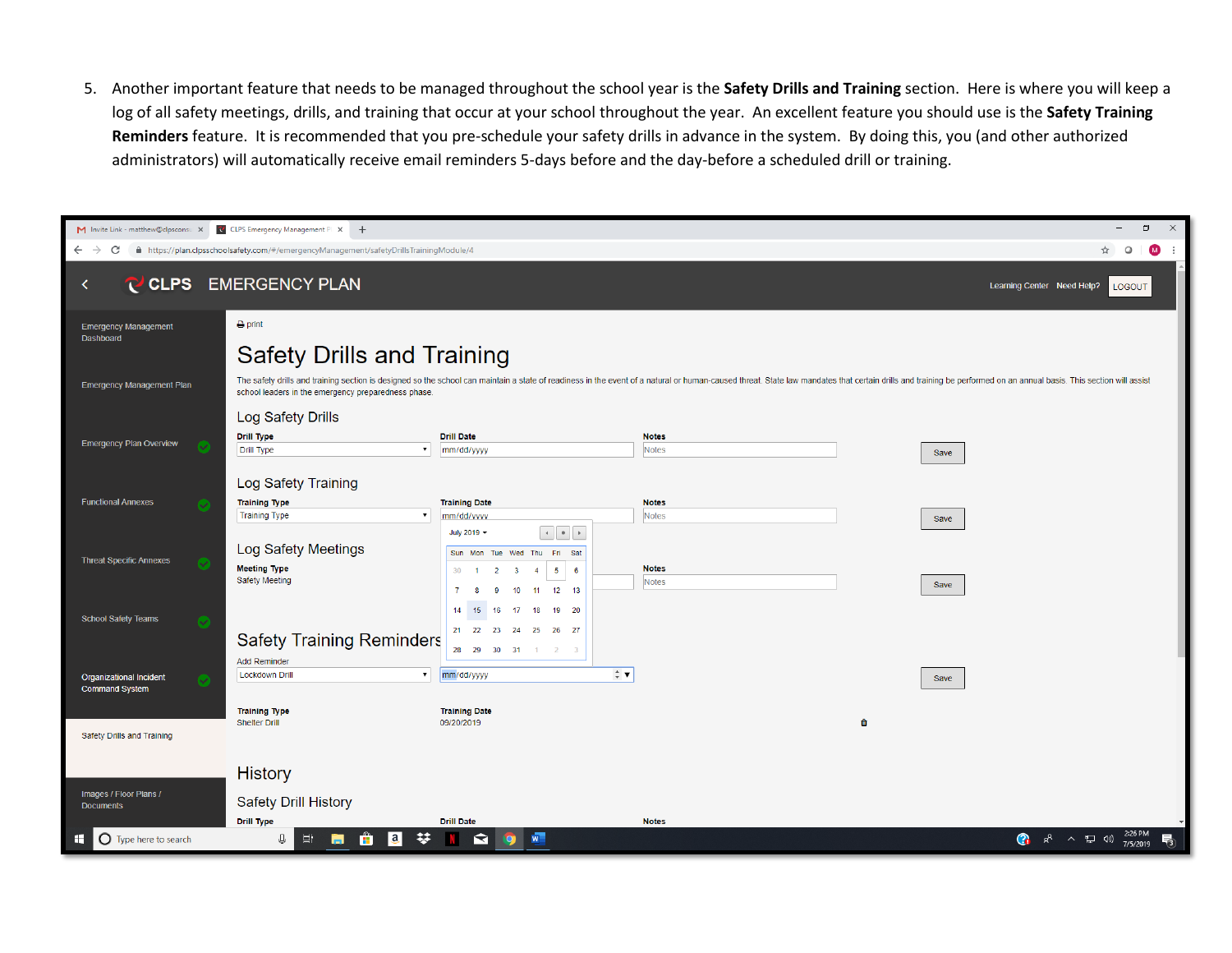5. Another important feature that needs to be managed throughout the school year is the **Safety Drills and Training** section. Here is where you will keep a log of all safety meetings, drills, and training that occur at your school throughout the year. An excellent feature you should use is the **Safety Training Reminders** feature. It is recommended that you pre-schedule your safety drills in advance in the system. By doing this, you (and other authorized administrators) will automatically receive email reminders 5-days before and the day-before a scheduled drill or training.